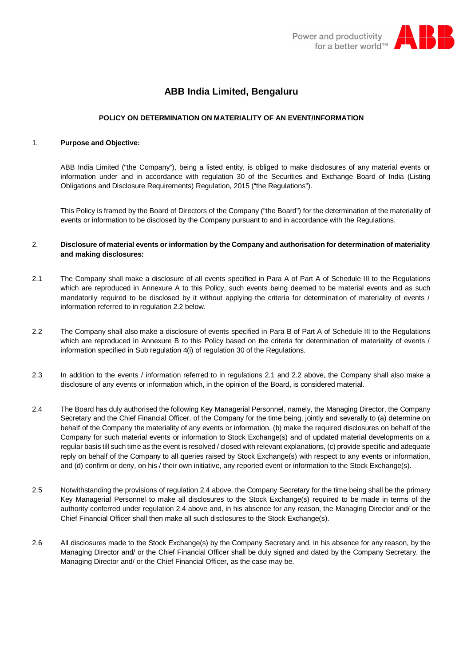

# **ABB India Limited, Bengaluru**

### **POLICY ON DETERMINATION ON MATERIALITY OF AN EVENT/INFORMATION**

#### 1. **Purpose and Objective:**

ABB India Limited ("the Company"), being a listed entity, is obliged to make disclosures of any material events or information under and in accordance with regulation 30 of the Securities and Exchange Board of India (Listing Obligations and Disclosure Requirements) Regulation, 2015 ("the Regulations").

This Policy is framed by the Board of Directors of the Company ("the Board") for the determination of the materiality of events or information to be disclosed by the Company pursuant to and in accordance with the Regulations.

### 2. **Disclosure of material events or information by the Company and authorisation for determination of materiality and making disclosures:**

- 2.1 The Company shall make a disclosure of all events specified in Para A of Part A of Schedule III to the Regulations which are reproduced in Annexure A to this Policy, such events being deemed to be material events and as such mandatorily required to be disclosed by it without applying the criteria for determination of materiality of events / information referred to in regulation 2.2 below.
- 2.2 The Company shall also make a disclosure of events specified in Para B of Part A of Schedule III to the Regulations which are reproduced in Annexure B to this Policy based on the criteria for determination of materiality of events / information specified in Sub regulation 4(i) of regulation 30 of the Regulations.
- 2.3 In addition to the events / information referred to in regulations 2.1 and 2.2 above, the Company shall also make a disclosure of any events or information which, in the opinion of the Board, is considered material.
- 2.4 The Board has duly authorised the following Key Managerial Personnel, namely, the Managing Director, the Company Secretary and the Chief Financial Officer, of the Company for the time being, jointly and severally to (a) determine on behalf of the Company the materiality of any events or information, (b) make the required disclosures on behalf of the Company for such material events or information to Stock Exchange(s) and of updated material developments on a regular basis till such time as the event is resolved / closed with relevant explanations, (c) provide specific and adequate reply on behalf of the Company to all queries raised by Stock Exchange(s) with respect to any events or information, and (d) confirm or deny, on his / their own initiative, any reported event or information to the Stock Exchange(s).
- 2.5 Notwithstanding the provisions of regulation 2.4 above, the Company Secretary for the time being shall be the primary Key Managerial Personnel to make all disclosures to the Stock Exchange(s) required to be made in terms of the authority conferred under regulation 2.4 above and, in his absence for any reason, the Managing Director and/ or the Chief Financial Officer shall then make all such disclosures to the Stock Exchange(s).
- 2.6 All disclosures made to the Stock Exchange(s) by the Company Secretary and, in his absence for any reason, by the Managing Director and/ or the Chief Financial Officer shall be duly signed and dated by the Company Secretary, the Managing Director and/ or the Chief Financial Officer, as the case may be.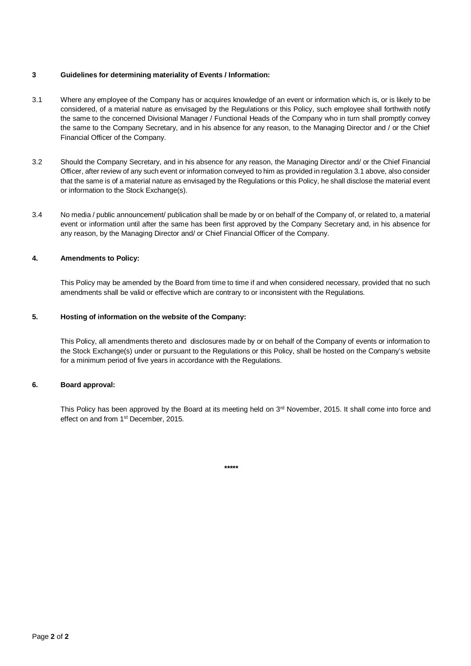### **3 Guidelines for determining materiality of Events / Information:**

- 3.1 Where any employee of the Company has or acquires knowledge of an event or information which is, or is likely to be considered, of a material nature as envisaged by the Regulations or this Policy, such employee shall forthwith notify the same to the concerned Divisional Manager / Functional Heads of the Company who in turn shall promptly convey the same to the Company Secretary, and in his absence for any reason, to the Managing Director and / or the Chief Financial Officer of the Company.
- 3.2 Should the Company Secretary, and in his absence for any reason, the Managing Director and/ or the Chief Financial Officer, after review of any such event or information conveyed to him as provided in regulation 3.1 above, also consider that the same is of a material nature as envisaged by the Regulations or this Policy, he shall disclose the material event or information to the Stock Exchange(s).
- 3.4 No media / public announcement/ publication shall be made by or on behalf of the Company of, or related to, a material event or information until after the same has been first approved by the Company Secretary and, in his absence for any reason, by the Managing Director and/ or Chief Financial Officer of the Company.

## **4. Amendments to Policy:**

This Policy may be amended by the Board from time to time if and when considered necessary, provided that no such amendments shall be valid or effective which are contrary to or inconsistent with the Regulations.

## **5. Hosting of information on the website of the Company:**

This Policy, all amendments thereto and disclosures made by or on behalf of the Company of events or information to the Stock Exchange(s) under or pursuant to the Regulations or this Policy, shall be hosted on the Company's website for a minimum period of five years in accordance with the Regulations.

### **6. Board approval:**

This Policy has been approved by the Board at its meeting held on 3<sup>rd</sup> November, 2015. It shall come into force and effect on and from 1st December, 2015.

**\*\*\*\*\***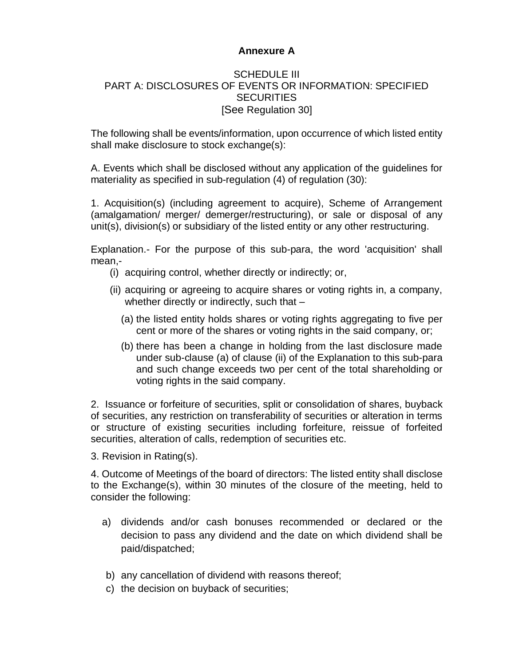# **Annexure A**

## SCHEDULE III PART A: DISCLOSURES OF EVENTS OR INFORMATION: SPECIFIED **SECURITIES** [See Regulation 30]

The following shall be events/information, upon occurrence of which listed entity shall make disclosure to stock exchange(s):

A. Events which shall be disclosed without any application of the guidelines for materiality as specified in sub-regulation (4) of regulation (30):

1. Acquisition(s) (including agreement to acquire), Scheme of Arrangement (amalgamation/ merger/ demerger/restructuring), or sale or disposal of any unit(s), division(s) or subsidiary of the listed entity or any other restructuring.

Explanation.- For the purpose of this sub-para, the word 'acquisition' shall mean,-

- (i) acquiring control, whether directly or indirectly; or,
- (ii) acquiring or agreeing to acquire shares or voting rights in, a company, whether directly or indirectly, such that -
	- (a) the listed entity holds shares or voting rights aggregating to five per cent or more of the shares or voting rights in the said company, or;
	- (b) there has been a change in holding from the last disclosure made under sub-clause (a) of clause (ii) of the Explanation to this sub-para and such change exceeds two per cent of the total shareholding or voting rights in the said company.

2. Issuance or forfeiture of securities, split or consolidation of shares, buyback of securities, any restriction on transferability of securities or alteration in terms or structure of existing securities including forfeiture, reissue of forfeited securities, alteration of calls, redemption of securities etc.

3. Revision in Rating(s).

4. Outcome of Meetings of the board of directors: The listed entity shall disclose to the Exchange(s), within 30 minutes of the closure of the meeting, held to consider the following:

- a) dividends and/or cash bonuses recommended or declared or the decision to pass any dividend and the date on which dividend shall be paid/dispatched;
- b) any cancellation of dividend with reasons thereof;
- c) the decision on buyback of securities;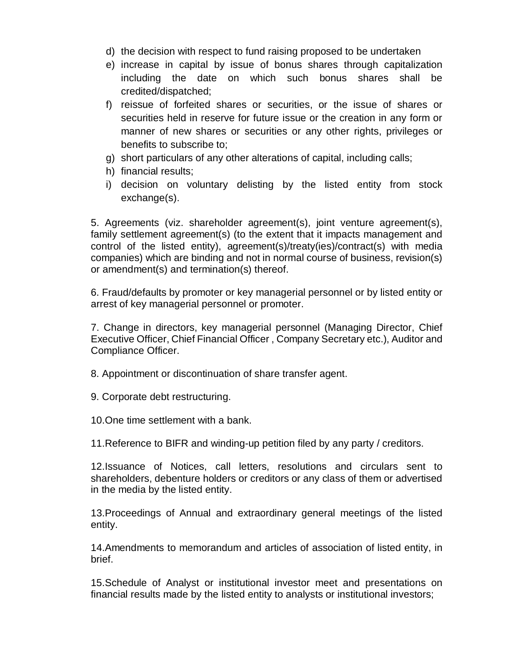- d) the decision with respect to fund raising proposed to be undertaken
- e) increase in capital by issue of bonus shares through capitalization including the date on which such bonus shares shall be credited/dispatched;
- f) reissue of forfeited shares or securities, or the issue of shares or securities held in reserve for future issue or the creation in any form or manner of new shares or securities or any other rights, privileges or benefits to subscribe to;
- g) short particulars of any other alterations of capital, including calls;
- h) financial results;
- i) decision on voluntary delisting by the listed entity from stock exchange(s).

5. Agreements (viz. shareholder agreement(s), joint venture agreement(s), family settlement agreement(s) (to the extent that it impacts management and control of the listed entity), agreement(s)/treaty(ies)/contract(s) with media companies) which are binding and not in normal course of business, revision(s) or amendment(s) and termination(s) thereof.

6. Fraud/defaults by promoter or key managerial personnel or by listed entity or arrest of key managerial personnel or promoter.

7. Change in directors, key managerial personnel (Managing Director, Chief Executive Officer, Chief Financial Officer , Company Secretary etc.), Auditor and Compliance Officer.

8. Appointment or discontinuation of share transfer agent.

9. Corporate debt restructuring.

10.One time settlement with a bank.

11.Reference to BIFR and winding-up petition filed by any party / creditors.

12.Issuance of Notices, call letters, resolutions and circulars sent to shareholders, debenture holders or creditors or any class of them or advertised in the media by the listed entity.

13.Proceedings of Annual and extraordinary general meetings of the listed entity.

14.Amendments to memorandum and articles of association of listed entity, in brief.

15.Schedule of Analyst or institutional investor meet and presentations on financial results made by the listed entity to analysts or institutional investors;